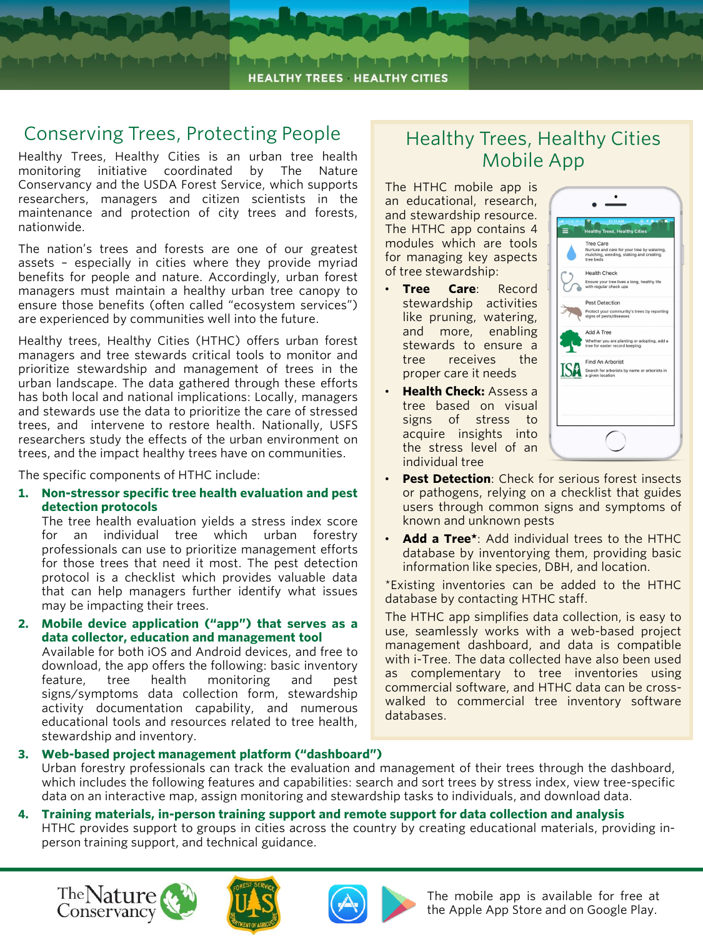

تشاعرهما والمرشاش ويقرشك فالمرميش

#### Conserving Trees, Protecting People

Healthy Trees, Healthy Cities is an urban tree health monitoring initiative coordinated by The Nature Conservancy and the USDA Forest Service, which supports researchers, managers and citizen scientists in the maintenance and protection of city trees and forests, nationwide.

The nation's trees and forests are one of our greatest assets – especially in cities where they provide myriad benefits for people and nature. Accordingly, urban forest managers must maintain a healthy urban tree canopy to ensure those benefits (often called "ecosystem services") are experienced by communities well into the future.

Healthy trees, Healthy Cities (HTHC) offers urban forest managers and tree stewards critical tools to monitor and prioritize stewardship and management of trees in the urban landscape. The data gathered through these efforts has both local and national implications: Locally, managers and stewards use the data to prioritize the care of stressed trees, and intervene to restore health. Nationally, USFS researchers study the effects of the urban environment on trees, and the impact healthy trees have on communities.

The specific components of HTHC include:

**1. Non-stressor specific tree health evaluation and pest detection protocols**

The tree health evaluation yields a stress index score for an individual tree which urban forestry professionals can use to prioritize management efforts for those trees that need it most. The pest detection protocol is a checklist which provides valuable data that can help managers further identify what issues may be impacting their trees.

**2. Mobile device application ("app") that serves as a data collector, education and management tool**

Available for both iOS and Android devices, and free to download, the app offers the following: basic inventory feature, tree health monitoring and pest signs/symptoms data collection form, stewardship activity documentation capability, and numerous educational tools and resources related to tree health, stewardship and inventory.

## Healthy Trees, Healthy Cities Mobile App

The HTHC mobile app is an educational, research, and stewardship resource. The HTHC app contains 4 modules which are tools for managing key aspects of tree stewardship:

- **Tree Care**: Record stewardship activities like pruning, watering, and more, enabling stewards to ensure a tree receives the proper care it needs
- **Health Check:** Assess a tree based on visual signs of stress to acquire insights into the stress level of an individual tree



- **Pest Detection**: Check for serious forest insects or pathogens, relying on a checklist that guides users through common signs and symptoms of known and unknown pests
- **Add a Tree\***: Add individual trees to the HTHC database by inventorying them, providing basic information like species, DBH, and location.

\*Existing inventories can be added to the HTHC database by contacting HTHC staff.

The HTHC app simplifies data collection, is easy to use, seamlessly works with a web-based project management dashboard, and data is compatible with i-Tree. The data collected have also been used as complementary to tree inventories using commercial software, and HTHC data can be crosswalked to commercial tree inventory software databases.

**3. Web-based project management platform ("dashboard")** Urban forestry professionals can track the evaluation and management of their trees through the dashboard, which includes the following features and capabilities: search and sort trees by stress index, view tree-specific data on an interactive map, assign monitoring and stewardship tasks to individuals, and download data.

#### **4. Training materials, in-person training support and remote support for data collection and analysis**

HTHC provides support to groups in cities across the country by creating educational materials, providing inperson training support, and technical guidance.







The mobile app is available for free at the Apple App Store and on Google Play.